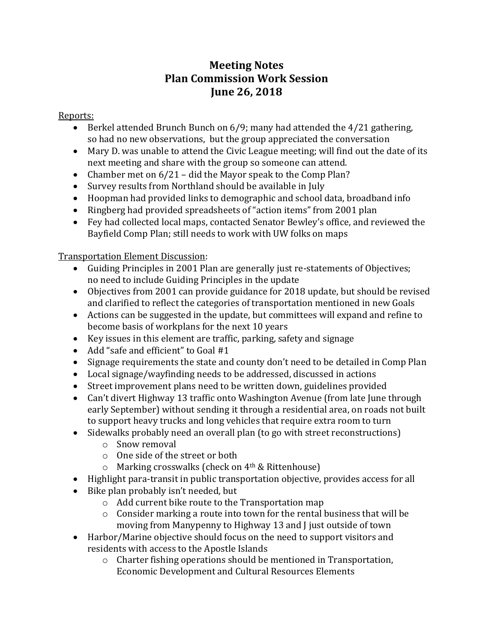## **Meeting Notes Plan Commission Work Session June 26, 2018**

Reports:

- Berkel attended Brunch Bunch on 6/9; many had attended the 4/21 gathering, so had no new observations, but the group appreciated the conversation
- Mary D. was unable to attend the Civic League meeting; will find out the date of its next meeting and share with the group so someone can attend.
- Chamber met on  $6/21$  did the Mayor speak to the Comp Plan?
- Survey results from Northland should be available in July
- Hoopman had provided links to demographic and school data, broadband info
- Ringberg had provided spreadsheets of "action items" from 2001 plan
- Fey had collected local maps, contacted Senator Bewley's office, and reviewed the Bayfield Comp Plan; still needs to work with UW folks on maps

Transportation Element Discussion:

- Guiding Principles in 2001 Plan are generally just re-statements of Objectives; no need to include Guiding Principles in the update
- Objectives from 2001 can provide guidance for 2018 update, but should be revised and clarified to reflect the categories of transportation mentioned in new Goals
- Actions can be suggested in the update, but committees will expand and refine to become basis of workplans for the next 10 years
- Key issues in this element are traffic, parking, safety and signage
- Add "safe and efficient" to Goal #1
- Signage requirements the state and county don't need to be detailed in Comp Plan
- Local signage/wayfinding needs to be addressed, discussed in actions
- Street improvement plans need to be written down, guidelines provided
- Can't divert Highway 13 traffic onto Washington Avenue (from late June through early September) without sending it through a residential area, on roads not built to support heavy trucks and long vehicles that require extra room to turn
- Sidewalks probably need an overall plan (to go with street reconstructions)
	- o Snow removal
	- o One side of the street or both
	- o Marking crosswalks (check on 4th & Rittenhouse)
- Highlight para-transit in public transportation objective, provides access for all
- Bike plan probably isn't needed, but
	- o Add current bike route to the Transportation map
	- o Consider marking a route into town for the rental business that will be moving from Manypenny to Highway 13 and J just outside of town
- Harbor/Marine objective should focus on the need to support visitors and residents with access to the Apostle Islands
	- o Charter fishing operations should be mentioned in Transportation, Economic Development and Cultural Resources Elements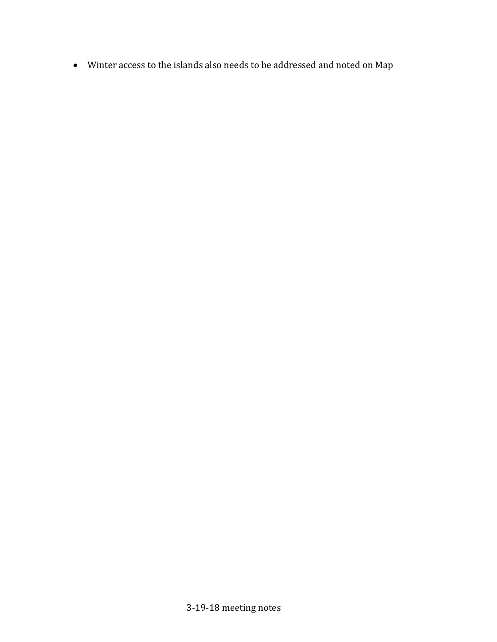• Winter access to the islands also needs to be addressed and noted on Map